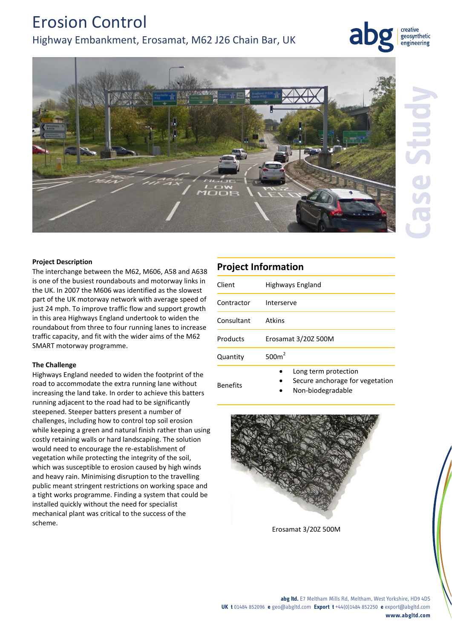# Erosion Control Highway Embankment, Erosamat, M62 J26 Chain Bar, UK

creative geosynthetic engineering



### **Project Description**

The interchange between the M62, M606, A58 and A638 is one of the busiest roundabouts and motorway links in the UK. In 2007 the M606 was identified as the slowest part of the UK motorway network with average speed of just 24 mph. To improve traffic flow and support growth in this area Highways England undertook to widen the roundabout from three to four running lanes to increase traffic capacity, and fit with the wider aims of the M62 SMART motorway programme.

### **The Challenge**

Highways England needed to widen the footprint of the road to accommodate the extra running lane without increasing the land take. In order to achieve this batters running adjacent to the road had to be significantly steepened. Steeper batters present a number of challenges, including how to control top soil erosion while keeping a green and natural finish rather than using costly retaining walls or hard landscaping. The solution would need to encourage the re-establishment of vegetation while protecting the integrity of the soil, which was susceptible to erosion caused by high winds and heavy rain. Minimising disruption to the travelling public meant stringent restrictions on working space and a tight works programme. Finding a system that could be installed quickly without the need for specialist mechanical plant was critical to the success of the scheme.

## **Project Information** Client Highways England Contractor Interserve Consultant Atkins Products Erosamat 3/20Z 500M **Quantity**  $500m<sup>2</sup>$

- Benefits
- Long term protection
- Secure anchorage for vegetation
- Non-biodegradable



Erosamat 3/20Z 500M